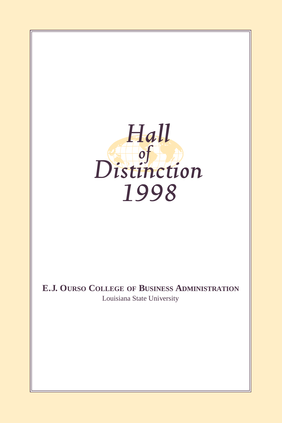

### **E.J. OURSO COLLEGE OF BUSINESS ADMINISTRATION** Louisiana State University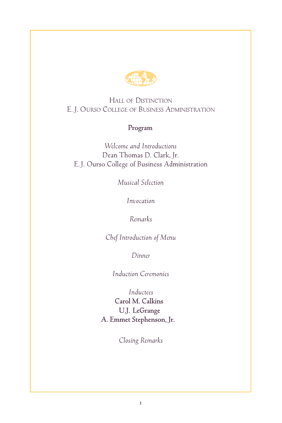

HALL OF DISTINCTION E. J. OURSO COLLEGE OF BUSINESS ADMINISTRATION

#### **Program**

*Welcome and Introductions* Dean Thomas D. Clark, Jr. E. J. Ourso College of Business Administration

*Musical Selection*

*Invocation*

*Remarks*

*Chef Introduction of Menu*

*Dinner*

*Induction Ceremonies*

*Inductees* **Carol M. Calkins U.J. LeGrange A. Emmet Stephenson, Jr.**

*Closing Remarks*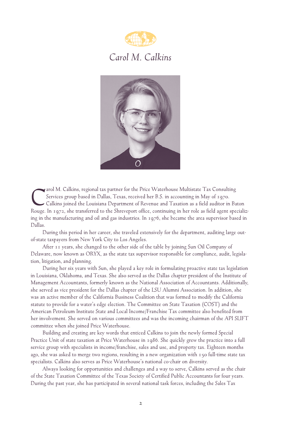

# *Carol M. Calkins*



The Services group based in Dallas, Texas, received her B.S. in accounting in May of 1970.<br>Calkins joined the Louisiana Department of Revenue and Taxation as a field auditor in Baton<br>Rouge. In 1972, she transferred to the arol M. Calkins, regional tax partner for the Price Waterhouse Multistate Tax Consulting Services group based in Dallas, Texas, received her B.S. in accounting in May of 1970.  $\sim$  Calkins joined the Louisiana Department of Revenue and Taxation as a field auditor in Baton ing in the manufacturing and oil and gas industries. In 1976, she became the area supervisor based in Dallas.

During this period in her career, she traveled extensively for the department, auditing large outof-state taxpayers from New York City to Los Angeles.

After 11 years, she changed to the other side of the table by joining Sun Oil Company of Delaware, now known as ORYX, as the state tax supervisor responsible for compliance, audit, legislation, litigation, and planning.

During her six years with Sun, she played a key role in formulating proactive state tax legislation in Louisiana, Oklahoma, and Texas. She also served as the Dallas chapter president of the Institute of Management Accountants, formerly known as the National Association of Accountants. Additionally, she served as vice president for the Dallas chapter of the LSU Alumni Association. In addition, she was an active member of the California Business Coalition that was formed to modify the California statute to provide for a water's edge election. The Committee on State Taxation (COST) and the American Petroleum Institute State and Local Income/Franchise Tax committee also benefited from her involvement. She served on various committees and was the incoming chairman of the API SLIFT committee when she joined Price Waterhouse.

Building and creating are key words that enticed Calkins to join the newly formed Special Practice Unit of state taxation at Price Waterhouse in 1986. She quickly grew the practice into a full service group with specialists in income/franchise, sales and use, and property tax. Eighteen months ago, she was asked to merge two regions, resulting in a new organization with 150 full-time state tax specialists. Calkins also serves as Price Waterhouse's national co-chair on diversity.

Always looking for opportunities and challenges and a way to serve, Calkins served as the chair of the State Taxation Committee of the Texas Society of Certified Public Accountants for four years. During the past year, she has participated in several national task forces, including the Sales Tax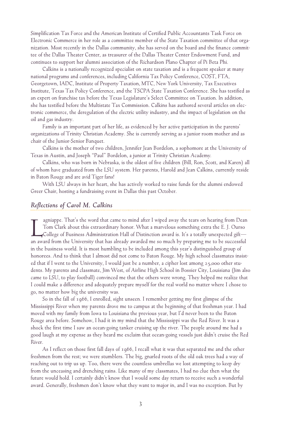Simplification Tax Force and the American Institute of Certified Public Accountants Task Force on Electronic Commerce in her role as a committee member of the State Taxation committee of that organization. Most recently in the Dallas community, she has served on the board and the finance committee of the Dallas Theater Center, as treasurer of the Dallas Theater Center Endowment Fund, and continues to support her alumni association of the Richardson Plano Chapter of Pi Beta Phi.

Calkins is a nationally recognized specialist on state taxation and is a frequent speaker at many national programs and conferences, including California Tax Policy Conference, COST, FTA, Georgetown, IADC, Institute of Property Taxation, MTC, New York University, Tax Executives Institute, Texas Tax Policy Conference, and the TSCPA State Taxation Conference. She has testified as an expert on franchise tax before the Texas Legislature's Select Committee on Taxation. In addition, she has testified before the Multistate Tax Commission. Calkins has authored several articles on electronic commerce, the deregulation of the electric utility industry, and the impact of legislation on the oil and gas industry.

Family is an important part of her life, as evidenced by her active participation in the parents' organizations of Trinity Christian Academy. She is currently serving as a junior room mother and as chair of the Junior-Senior Banquet.

Calkins is the mother of two children, Jennifer Jean Bordelon, a sophomore at the University of Texas in Austin, and Joseph "Paul" Bordelon, a junior at Trinity Christian Academy.

Calkins, who was born in Nebraska, is the oldest of five children (Bill, Ron, Scott, and Karen) all of whom have graduated from the LSU system. Her parents, Harold and Jean Calkins, currently reside in Baton Rouge and are avid Tiger fans!

With LSU always in her heart, she has actively worked to raise funds for the alumni endowed Greer Chair, hosting a fundraising event in Dallas this past October.

#### *Reflections of Carol M. Calkins*

agniappe. That's the word that came to mind after I wiped away the tears on hearing from Dear<br>Tom Clark about this extraordinary honor. What a marvelous something extra the E. J. Ourso<br>College of Business Administration Ha agniappe. That's the word that came to mind after I wiped away the tears on hearing from Dean Tom Clark about this extraordinary honor. What a marvelous something extra the E. J. Ourso College of Business Administration Hall of Distinction award is. It's a totally unexpected gift in the business world. It is most humbling to be included among this year's distinguished group of honorees. And to think that I almost did not come to Baton Rouge. My high school classmates insisted that if I went to the University, I would just be a number, a cipher lost among 25,000 other students. My parents and classmate, Jim West, of Airline High School in Bossier City, Louisiana (Jim also came to LSU, to play football) convinced me that the others were wrong. They helped me realize that I could make a difference and adequately prepare myself for the real world no matter where I chose to go, no matter how big the university was.

So in the fall of 1966, I enrolled, sight unseen. I remember getting my first glimpse of the Mississippi River when my parents drove me to campus at the beginning of that freshman year. I had moved with my family from Iowa to Louisiana the previous year, but I'd never been to the Baton Rouge area before. Somehow, I had it in my mind that the Mississippi was the Red River. It was a shock the first time I saw an ocean-going tanker cruising up the river. The people around me had a good laugh at my expense as they heard me exclaim that ocean-going vessels just didn't cruise the Red River.

As I reflect on those first fall days of 1966, I recall what it was that separated me and the other freshmen from the rest; we were stumblers. The big, gnarled roots of the old oak trees had a way of reaching out to trip us up. Too, there were the countless umbrellas we lost attempting to keep dry from the unceasing and drenching rains. Like many of my classmates, I had no clue then what the future would hold. I certainly didn't know that I would some day return to receive such a wonderful award. Generally, freshmen don't know what they want to major in, and I was no exception. But by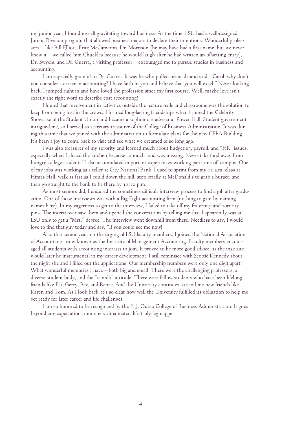my junior year, I found myself gravitating toward business. At the time, LSU had a well-designed Junior Division program that allowed business majors to declare their intentions. Wonderful professors—like Bill Elliott, Fritz McCameron, Dr. Morrison (he may have had a first name, but we never knew it—we called him Chuckles because he would laugh after he had written an offsetting entry), Dr. Swyers, and Dr. Guerra, a visiting professor—encouraged me to pursue studies in business and accounting.

I am especially grateful to Dr. Guerra. It was he who pulled me aside and said, "Carol, why don't you consider a career in accounting? I have faith in you and believe that you will excel." Never looking back, I jumped right in and have loved the profession since my first course. Well, maybe love isn't exactly the right word to describe cost accounting!

I found that involvement in activities outside the lecture halls and classrooms was the solution to keep from being lost in the crowd. I formed long-lasting friendships when I joined the Celebrity Showcase of the Student Union and became a sophomore adviser at Power Hall. Student government intrigued me, so I served as secretary-treasurer of the College of Business Administration. It was during this time that we joined with the administration to formulate plans for the new CEBA Building. It's been a joy to come back to visit and see what we dreamed of so long ago.

I was also treasurer of my sorority and learned much about budgeting, payroll, and "HR" issues, especially when I closed the kitchen because so much food was missing. Never take food away from hungry college students! I also accumulated important experiences working part-time off campus. One of my jobs was working as a teller at City National Bank. I used to sprint from my 11 a.m. class at Himes Hall, walk as fast as I could down the hill, stop briefly at McDonald's to grab a burger, and then go straight to the bank to be there by 12:30 p.m.

As most seniors did, I endured the sometimes difficult interview process to find a job after graduation. One of those interviews was with a Big Eight accounting firm (nothing to gain by naming names here). In my eagerness to get to the interview, I failed to take off my fraternity and sorority pins. The interviewer saw them and opened the conversation by telling me that I apparently was at LSU only to get a "Mrs." degree. The interview went downhill from there. Needless to say, I would love to find that guy today and say, "If you could see me now!"

Also that senior year, on the urging of LSU faculty members, I joined the National Association of Accountants, now known as the Institute of Management Accounting. Faculty members encouraged all students with accounting interests to join. It proved to be more good advice, as the institute would later be instrumental in my career development. I still reminisce with Scottie Kennedy about the night she and I filled out the applications. Our membership numbers were only one digit apart! What wonderful memories I have—both big and small. There were the challenging professors, a diverse student body, and the "can-do" attitude. There were fellow students who have been lifelong friends like Pat, Gerry, Bev, and Renee. And the University continues to send me new friends like Karen and Tom. As I look back, it's so clear how well the University fulfilled its obligation to help me get ready for later career and life challenges.

I am so honored to be recognized by the E. J. Ourso College of Business Administration. It goes beyond any expectation from one's alma mater. It's truly lagniappe.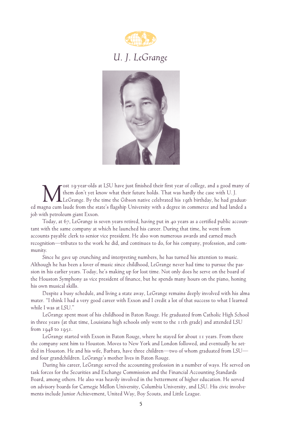

# *U. J. LeGrange*



ware olds at LSU have just finished their first year of college, and a good many of them don't yet know what their future holds. That was hardly the case with U. J.<br>He Grange. By the time the Gibson native celebrated his 1 ost 19-year-olds at LSU have just finished their first year of college, and a good many of them don't yet know what their future holds. That was hardly the case with U. J. LeGrange. By the time the Gibson native celebrated his 19th birthday, he had graduatjob with petroleum giant Exxon.

Today, at 67, LeGrange is seven years retired, having put in 40 years as a certified public accountant with the same company at which he launched his career. During that time, he went from accounts payable clerk to senior vice president. He also won numerous awards and earned much recognition—tributes to the work he did, and continues to do, for his company, profession, and community.

Since he gave up crunching and interpreting numbers, he has turned his attention to music. Although he has been a lover of music since childhood, LeGrange never had time to pursue the passion in his earlier years. Today, he's making up for lost time. Not only does he serve on the board of the Houston Symphony as vice president of finance, but he spends many hours on the piano, honing his own musical skills.

Despite a busy schedule, and living a state away, LeGrange remains deeply involved with his alma mater. "I think I had a very good career with Exxon and I credit a lot of that success to what I learned while I was at LSU."

LeGrange spent most of his childhood in Baton Rouge. He graduated from Catholic High School in three years (at that time, Louisiana high schools only went to the 11th grade) and attended LSU from 1948 to 1951.

LeGrange started with Exxon in Baton Rouge, where he stayed for about 11 years. From there the company sent him to Houston. Moves to New York and London followed, and eventually he settled in Houston. He and his wife, Barbara, have three children—two of whom graduated from LSU and four grandchildren. LeGrange's mother lives in Baton Rouge.

During his career, LeGrange served the accounting profession in a number of ways. He served on task forces for the Securities and Exchange Commission and the Financial Accounting Standards Board, among others. He also was heavily involved in the betterment of higher education. He served on advisory boards for Carnegie Mellon University, Columbia University, and LSU. His civic involvements include Junior Achievement, United Way, Boy Scouts, and Little League.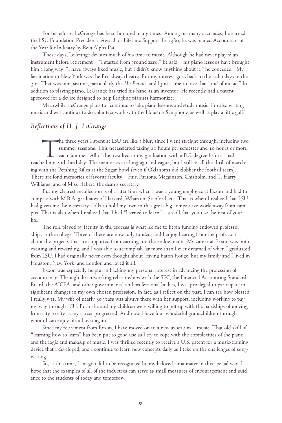For his efforts, LeGrange has been honored many times. Among his many accolades, he earned the LSU Foundation President's Award for Lifetime Support. In 1980, he was named Accountant of the Year for Industry by Beta Alpha Psi.

These days, LeGrange devotes much of his time to music. Although he had never played an instrument before retirement—"I started from ground zero," he said—his piano lessons have brought him a long way. "I have always liked music, but I didn't know anything about it," he conceded. "My fascination in New York was the Broadway theatre. But my interest goes back to the radio days in the 30s. That was our pastime, particularly the *Hit Parade*, and I just came to love that kind of music." In addition to playing piano, LeGrange has tried his hand as an inventor. He recently had a patent approved for a device designed to help fledgling pianists harmonize.

Meanwhile, LeGrange plans to "continue to take piano lessons and study music. I'm also writing music and will continue to do volunteer work with the Houston Symphony, as well as play a little golf."

#### *Reflections of U. J. LeGrange*

 $\prod_{\text{ed mv } z}$ he three years I spent at LSU are like a blur, since I went straight through, including two summer sessions. This necessitated taking 21 hours per semester and 10 hours or more each summer. All of this resulted in my graduation with a B.S. degree before I had reached my 20th birthday. The memories are long ago and vague, but I still recall the thrill of marching with the Pershing Rifles at the Sugar Bowl (even if Oklahoma did clobber the football team). There are fond memories of favorite faculty—Fair, Parsons, Megginson, Chisholm, and T. Harry Williams; and of Miss Hebert, the dean's secretary.

But my clearest recollection is of a later time when I was a young employee at Exxon and had to compete with M.B.A. graduates of Harvard, Wharton, Stanford, etc. That is when I realized that LSU had given me the necessary skills to hold my own in that great big competitive world away from campus. That is also when I realized that I had "learned to learn"—a skill that you use the rest of your life.

The role played by faculty in the process is what led me to begin funding endowed professorships in the college. Three of these are now fully funded, and I enjoy hearing from the professors about the projects that are supported from earnings on the endowments. My career at Exxon was both exciting and rewarding, and I was able to accomplish far more than I ever dreamed of when I graduated from LSU. I had originally never even thought about leaving Baton Rouge, but my family and I lived in Houston, New York, and London and loved it all.

Exxon was especially helpful in backing my personal interest in advancing the profession of accountancy. Through direct working relationships with the SEC, the Financial Accounting Standards Board, the AICPA, and other governmental and professional bodies, I was privileged to participate in significant changes in my own chosen profession. In fact, as I reflect on the past, I can see how blessed I really was. My wife of nearly 50 years was always there with her support, including working to pay my way through LSU. Both she and my children were willing to put up with the hardships of moving from city to city as my career progressed. And now I have four wonderful grandchildren through whom I can enjoy life all over again.

Since my retirement from Exxon, I have moved on to a new avocation—music. That old skill of "learning how to learn" has been put to good use as I try to cope with the complexities of the piano and the logic and makeup of music. I was thrilled recently to receive a U.S. patent for a music-training device that I developed; and I continue to learn new concepts daily as I take on the challenges of songwriting.

So, at this time, I am grateful to be recognized by my beloved alma mater in this special way. I hope that the examples of all of the inductees can serve as small measures of encouragement and guidance to the students of today and tomorrow.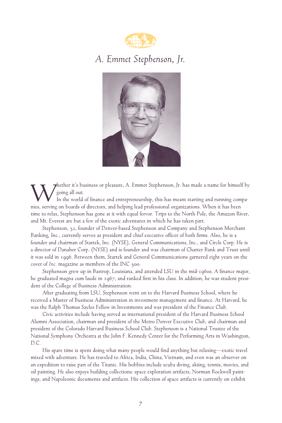

# *A. Emmet Stephenson, Jr.*



hether it's business or pleasure, A. Emmet Stephenson, Jr. has made a name for himself by going all out.

Wether it's business or pleasure, A. Emmet Stephenson, Jr. has made a name for himsel<br>going all out.<br>In the world of finance and entrepreneurship, this has meant starting and running com<br>nies, serving on boards of director In the world of finance and entrepreneurship, this has meant starting and running compatime to relax, Stephenson has gone at it with equal fervor. Trips to the North Pole, the Amazon River, and Mt. Everest are but a few of the exotic adventures in which he has taken part.

Stephenson, 52, founder of Denver-based Stephenson and Company and Stephenson Merchant Banking, Inc., currently serves as president and chief executive officer of both firms. Also, he is a founder and chairman of Startek, Inc. (NYSE), General Communications, Inc., and Circle Corp. He is a director of Danaher Corp. (NYSE) and is founder and was chairman of Charter Bank and Trust until it was sold in 1996. Between them, Startek and General Communications garnered eight years on the cover of *Inc.* magazine as members of the INC 500.

Stephenson grew up in Bastrop, Louisiana, and attended LSU in the mid-1960s. A finance major, he graduated magna cum laude in 1967, and ranked first in his class. In addition, he was student president of the College of Business Administration.

After graduating from LSU, Stephenson went on to the Harvard Business School, where he received a Master of Business Administration in investment management and finance. At Harvard, he was the Ralph Thomas Sayles Fellow in Investments and was president of the Finance Club.

Civic activities include having served as international president of the Harvard Business School Alumni Association, chairman and president of the Metro Denver Executive Club, and chairman and president of the Colorado Harvard Business School Club. Stephenson is a National Trustee of the National Symphony Orchestra at the John F. Kennedy Center for the Performing Arts in Washington, D.C.

His spare time is spent doing what many people would find anything but relaxing—exotic travel mixed with adventure. He has traveled to Africa, India, China, Vietnam, and even was an observer on an expedition to raise part of the Titanic. His hobbies include scuba diving, skiing, tennis, movies, and oil painting. He also enjoys building collections: space exploration artifacts, Norman Rockwell paintings, and Napoleonic documents and artifacts. His collection of space artifacts is currently on exhibit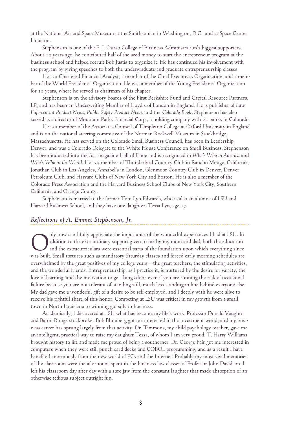at the National Air and Space Museum at the Smithsonian in Washington, D.C., and at Space Center Houston.

Stephenson is one of the E. J. Ourso College of Business Administration's biggest supporters. About 12 years ago, he contributed half of the seed money to start the entrepreneur program at the business school and helped recruit Bob Justis to organize it. He has continued his involvement with the program by giving speeches to both the undergraduate and graduate entrepreneurship classes.

He is a Chartered Financial Analyst, a member of the Chief Executives Organization, and a member of the World Presidents' Organization. He was a member of the Young Presidents' Organization for 11 years, where he served as chairman of his chapter.

Stephenson is on the advisory boards of the First Berkshire Fund and Capital Resource Partners, LP, and has been an Underwriting Member of Lloyd's of London in England. He is publisher of *Law Enforcement Product News, Public Safety Product News*, and the *Colorado Book*. Stephenson has also served as a director of Mountain Parks Financial Corp., a holding company with 22 banks in Colorado.

He is a member of the Associates Council of Templeton College at Oxford University in England and is on the national steering committee of the Norman Rockwell Museum in Stockbridge, Massachusetts. He has served on the Colorado Small Business Council, has been in Leadership Denver, and was a Colorado Delegate to the White House Conference on Small Business. Stephenson has been inducted into the *Inc*. magazine Hall of Fame and is recognized in *Who's Who in America* and *Who's Who in the World*. He is a member of Thunderbird Country Club in Rancho Mirage, California, Jonathan Club in Los Angeles, Annabel's in London, Glenmoor Country Club in Denver, Denver Petroleum Club, and Harvard Clubs of New York City and Boston. He is also a member of the Colorado Press Association and the Harvard Business School Clubs of New York City, Southern California, and Orange County.

Stephenson is married to the former Toni Lyn Edwards, who is also an alumna of LSU and Harvard Business School, and they have one daughter, Tessa Lyn, age 17.

#### *Reflections of A. Emmet Stephenson, Jr.*

ny now can I fully appreciate the importance of the wonderful experiences I had at LSU. In addition to the extraordinary support given to me by my mom and dad, both the education and the extracurriculars were essential par nly now can I fully appreciate the importance of the wonderful experiences I had at LSU. In addition to the extraordinary support given to me by my mom and dad, both the education and the extracurriculars were essential parts of the foundation upon which everything since overwhelmed by the great positives of my college years—the great teachers, the stimulating activities, and the wonderful friends. Entrepreneurship, as I practice it, is nurtured by the desire for variety, the love of learning, and the motivation to get things done even if you are running the risk of occasional failure because you are not tolerant of standing still, much less standing in line behind everyone else. My dad gave me a wonderful gift of a desire to be self-employed, and I deeply wish he were alive to receive his rightful share of this honor. Competing at LSU was critical in my growth from a small town in North Louisiana to winning globally in business.

Academically, I discovered at LSU what has become my life's work. Professor Donald Vaughn and Baton Rouge stockbroker Bob Blumberg got me interested in the investment world, and my business career has sprung largely from that activity. Dr. Timmons, my child psychology teacher, gave me an intelligent, practical way to raise my daughter Tessa, of whom I am very proud. T. Harry Williams brought history to life and made me proud of being a southerner. Dr. George Fair got me interested in computers when they were still punch card decks and COBOL programming, and as a result I have benefited enormously from the new world of PCs and the Internet. Probably my most vivid memories of the classroom were the afternoons spent in the business law classes of Professor John Davidson. I left his classroom day after day with a sore jaw from the constant laughter that made absorption of an otherwise tedious subject outright fun.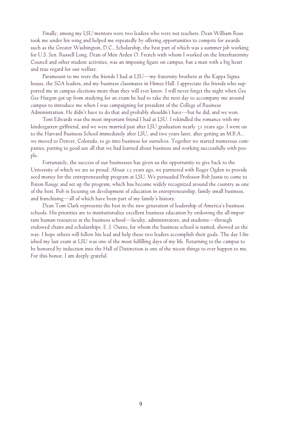Finally, among my LSU mentors were two leaders who were not teachers. Dean William Ross took me under his wing and helped me repeatedly by offering opportunities to compete for awards such as the Greater Washington, D.C., Scholarship, the best part of which was a summer job working for U.S. Sen. Russell Long. Dean of Men Arden O. French with whom I worked on the Interfraternity Council and other student activities, was an imposing figure on campus, but a man with a big heart and true regard for our welfare.

Paramount to me were the friends I had at LSU—my fraternity brothers at the Kappa Sigma house, the SGA leaders, and my business classmates in Himes Hall. I appreciate the friends who supported me in campus elections more than they will ever know. I will never forget the night when Gee Gee Hargon got up from studying for an exam he had to take the next day to accompany me around campus to introduce me when I was campaigning for president of the College of Business Administration. He didn't have to do that and probably shouldn't have—but he did, and we won.

Toni Edwards was the most important friend I had at LSU. I rekindled the romance with my kindergarten girlfriend, and we were married just after LSU graduation nearly 31 years ago. I went on to the Harvard Business School immediately after LSU, and two years later, after getting an M.B.A., we moved to Denver, Colorado, to go into business for ourselves. Together we started numerous companies, putting to good use all that we had learned about business and working successfully with people.

Fortunately, the success of our businesses has given us the opportunity to give back to the University of which we are so proud. About 12 years ago, we partnered with Roger Ogden to provide seed money for the entrepreneurship program at LSU. We persuaded Professor Bob Justis to come to Baton Rouge and set up the program, which has become widely recognized around the country as one of the best. Bob is focusing on development of education in entrepreneurship, family small business, and franchising—all of which have been part of my family's history.

Dean Tom Clark represents the best in the new generation of leadership of America's business schools. His priorities are to institutionalize excellent business education by endowing the all-important human resources at the business school—faculty, administrators, and students—through endowed chairs and scholarships. E. J. Ourso, for whom the business school is named, showed us the way. I hope others will follow his lead and help these two leaders accomplish their goals. The day I finished my last exam at LSU was one of the most fulfilling days of my life. Returning to the campus to be honored by induction into the Hall of Distinction is one of the nicest things to ever happen to me. For this honor, I am deeply grateful.